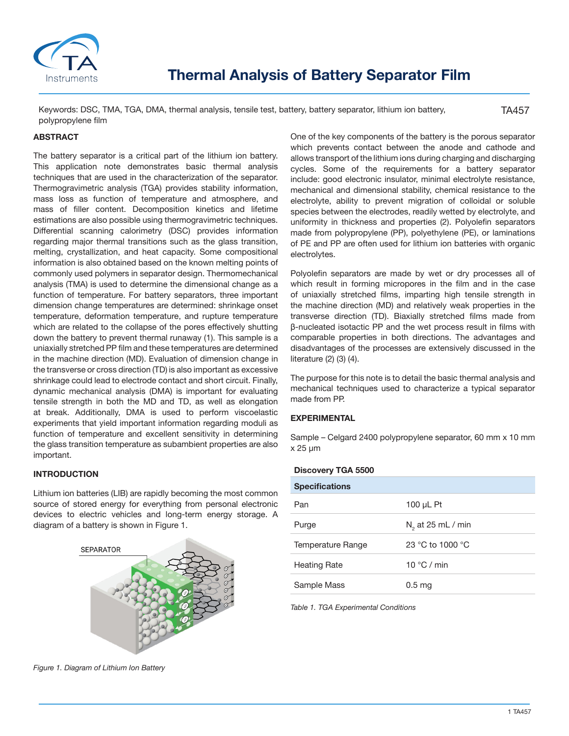

Keywords: DSC, TMA, TGA, DMA, thermal analysis, tensile test, battery, battery separator, lithium ion battery, polypropylene film

TA457

# **ABSTRACT**

The battery separator is a critical part of the lithium ion battery. This application note demonstrates basic thermal analysis techniques that are used in the characterization of the separator. Thermogravimetric analysis (TGA) provides stability information, mass loss as function of temperature and atmosphere, and mass of filler content. Decomposition kinetics and lifetime estimations are also possible using thermogravimetric techniques. Differential scanning calorimetry (DSC) provides information regarding major thermal transitions such as the glass transition, melting, crystallization, and heat capacity. Some compositional information is also obtained based on the known melting points of commonly used polymers in separator design. Thermomechanical analysis (TMA) is used to determine the dimensional change as a function of temperature. For battery separators, three important dimension change temperatures are determined: shrinkage onset temperature, deformation temperature, and rupture temperature which are related to the collapse of the pores effectively shutting down the battery to prevent thermal runaway (1). This sample is a uniaxially stretched PP film and these temperatures are determined in the machine direction (MD). Evaluation of dimension change in the transverse or cross direction (TD) is also important as excessive shrinkage could lead to electrode contact and short circuit. Finally, dynamic mechanical analysis (DMA) is important for evaluating tensile strength in both the MD and TD, as well as elongation at break. Additionally, DMA is used to perform viscoelastic experiments that yield important information regarding moduli as function of temperature and excellent sensitivity in determining the glass transition temperature as subambient properties are also important.

# **INTRODUCTION**

Lithium ion batteries (LIB) are rapidly becoming the most common source of stored energy for everything from personal electronic devices to electric vehicles and long-term energy storage. A diagram of a battery is shown in Figure 1.



*Figure 1. Diagram of Lithium Ion Battery*

One of the key components of the battery is the porous separator which prevents contact between the anode and cathode and allows transport of the lithium ions during charging and discharging cycles. Some of the requirements for a battery separator include: good electronic insulator, minimal electrolyte resistance, mechanical and dimensional stability, chemical resistance to the electrolyte, ability to prevent migration of colloidal or soluble species between the electrodes, readily wetted by electrolyte, and uniformity in thickness and properties (2). Polyolefin separators made from polypropylene (PP), polyethylene (PE), or laminations of PE and PP are often used for lithium ion batteries with organic electrolytes.

Polyolefin separators are made by wet or dry processes all of which result in forming micropores in the film and in the case of uniaxially stretched films, imparting high tensile strength in the machine direction (MD) and relatively weak properties in the transverse direction (TD). Biaxially stretched films made from β-nucleated isotactic PP and the wet process result in films with comparable properties in both directions. The advantages and disadvantages of the processes are extensively discussed in the literature (2) (3) (4).

The purpose for this note is to detail the basic thermal analysis and mechanical techniques used to characterize a typical separator made from PP.

### **EXPERIMENTAL**

Sample – Celgard 2400 polypropylene separator, 60 mm x 10 mm x 25 μm

#### **Discovery TGA 5500**

| <b>Specifications</b> |                      |
|-----------------------|----------------------|
| Pan                   | 100 $\mu$ L Pt       |
| Purge                 | $N2$ at 25 mL / min  |
| Temperature Range     | 23 °C to 1000 °C     |
| <b>Heating Rate</b>   | 10 $\degree$ C / min |
| Sample Mass           | 0.5 <sub>ma</sub>    |
|                       |                      |

*Table 1. TGA Experimental Conditions*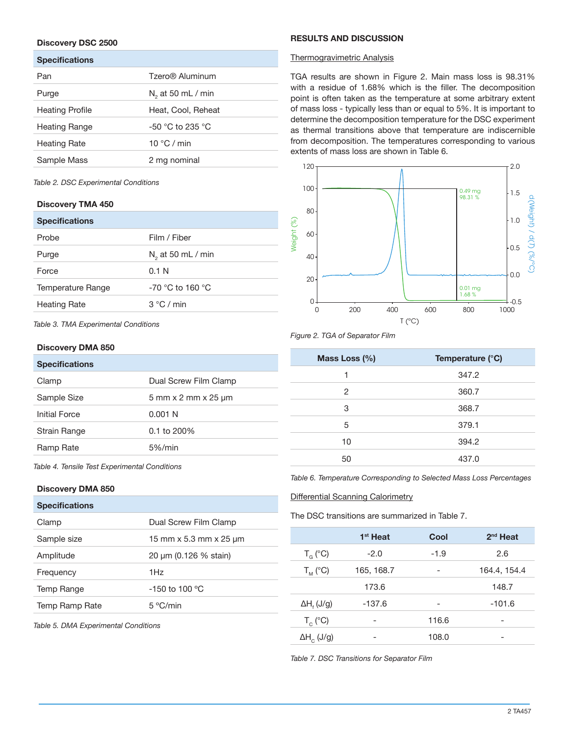# **Discovery DSC 2500**

| <b>Specifications</b>  |                      |
|------------------------|----------------------|
| Pan                    | Tzero® Aluminum      |
| Purge                  | $N2$ at 50 mL / min  |
| <b>Heating Profile</b> | Heat, Cool, Reheat   |
| Heating Range          | $-50$ °C to 235 °C   |
| Heating Rate           | 10 $\degree$ C / min |
| Sample Mass            | 2 mg nominal         |

*Table 2. DSC Experimental Conditions*

# **Discovery TMA 450**

| <b>Specifications</b> |                               |
|-----------------------|-------------------------------|
| Probe                 | Film / Fiber                  |
| Purge                 | N <sub>2</sub> at 50 mL / min |
| Force                 | 0.1 N                         |
| Temperature Range     | $-70$ °C to 160 °C            |
| <b>Heating Rate</b>   | 3 °C / min                    |

*Table 3. TMA Experimental Conditions*

# **Discovery DMA 850**

| <b>Specifications</b> |                                                         |
|-----------------------|---------------------------------------------------------|
| Clamp                 | Dual Screw Film Clamp                                   |
| Sample Size           | $5 \text{ mm} \times 2 \text{ mm} \times 25 \text{ µm}$ |
| Initial Force         | 0.001 N                                                 |
| <b>Strain Range</b>   | $0.1$ to 200%                                           |
| Ramp Rate             | $5\%$ /min                                              |
|                       |                                                         |

*Table 4. Tensile Test Experimental Conditions*

### **Discovery DMA 850**

| <b>Specifications</b> |                                      |
|-----------------------|--------------------------------------|
| Clamp                 | Dual Screw Film Clamp                |
| Sample size           | 15 mm $\times$ 5.3 mm $\times$ 25 µm |
| Amplitude             | 20 µm (0.126 % stain)                |
| Frequency             | 1Hz                                  |
| Temp Range            | $-150$ to 100 °C                     |
| Temp Ramp Rate        | 5 °C/min                             |
|                       |                                      |

*Table 5. DMA Experimental Conditions*

### **RESULTS AND DISCUSSION**

### Thermogravimetric Analysis

TGA results are shown in Figure 2. Main mass loss is 98.31% with a residue of 1.68% which is the filler. The decomposition point is often taken as the temperature at some arbitrary extent of mass loss - typically less than or equal to 5%. It is important to determine the decomposition temperature for the DSC experiment as thermal transitions above that temperature are indiscernible from decomposition. The temperatures corresponding to various extents of mass loss are shown in Table 6.



# *Figure 2. TGA of Separator Film*

| Mass Loss (%) | Temperature (°C) |  |
|---------------|------------------|--|
| 1             | 347.2            |  |
| 2             | 360.7            |  |
| 3             | 368.7            |  |
| 5             | 379.1            |  |
| 10            | 394.2            |  |
| 50            | 437.0            |  |

*Table 6. Temperature Corresponding to Selected Mass Loss Percentages*

### Differential Scanning Calorimetry

The DSC transitions are summarized in Table 7.

|                               | 1 <sup>st</sup> Heat | Cool   | $2nd$ Heat   |
|-------------------------------|----------------------|--------|--------------|
| $T_{G}$ (°C)                  | $-2.0$               | $-1.9$ | 2.6          |
| $T_M$ (°C)                    | 165, 168.7           |        | 164.4, 154.4 |
|                               | 173.6                |        | 148.7        |
| $\Delta H$ <sub>r</sub> (J/g) | $-137.6$             |        | $-101.6$     |
| $T_c$ (°C)                    | -                    | 116.6  | -            |
| $\Delta H$ <sub>c</sub> (J/g) |                      | 108.0  |              |

*Table 7. DSC Transitions for Separator Film*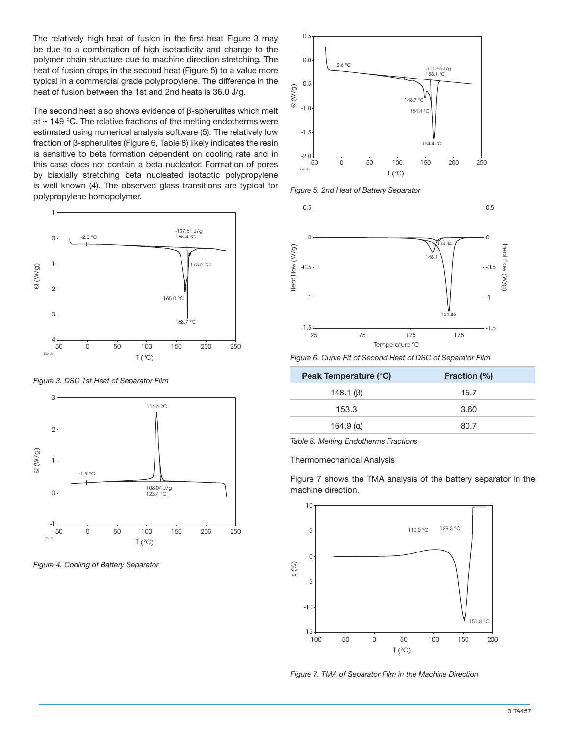The relatively high heat of fusion in the first heat Figure 3 may be due to a combination of high isotacticity and change to the polymer chain structure due to machine direction stretching. The heat of fusion drops in the second heat (Figure 5) to a value more typical in a commercial grade polypropylene. The difference in the heat of fusion between the 1st and 2nd heats is 36.0 J/g.

The second heat also shows evidence of β-spherulites which melt at  $\sim$  149 °C. The relative fractions of the melting endotherms were estimated using numerical analysis software (5). The relatively low fraction of β-spherulites (Figure 6, Table 8) likely indicates the resin is sensitive to beta formation dependent on cooling rate and in this case does not contain a beta nucleator. Formation of pores by biaxially stretching beta nucleated isotactic polypropylene is well known (4). The observed glass transitions are typical for polypropylene homopolymer.



*Figure 3. DSC 1st Heat of Separator Film*



*Figure 4. Cooling of Battery Separator*



*Figure 5. 2nd Heat of Battery Separator*



*Figure 6. Curve Fit of Second Heat of DSC of Separator Film*

| <b>Fraction (%)</b> |
|---------------------|
| 15.7                |
| 3.60                |
| 80.7                |
|                     |

*Table 8. Melting Endotherms Fractions*

#### Thermomechanical Analysis

Figure 7 shows the TMA analysis of the battery separator in the machine direction.



*Figure 7. TMA of Separator Film in the Machine Direction*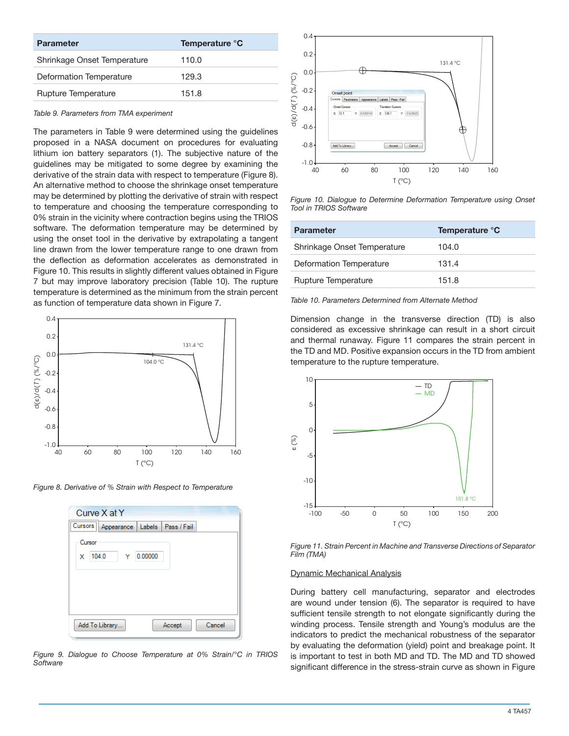| <b>Parameter</b>            | Temperature °C |
|-----------------------------|----------------|
| Shrinkage Onset Temperature | 110.0          |
| Deformation Temperature     | 129.3          |
| <b>Rupture Temperature</b>  | 151.8          |

*Table 9. Parameters from TMA experiment*

The parameters in Table 9 were determined using the guidelines proposed in a NASA document on procedures for evaluating lithium ion battery separators (1). The subjective nature of the guidelines may be mitigated to some degree by examining the derivative of the strain data with respect to temperature (Figure 8). An alternative method to choose the shrinkage onset temperature may be determined by plotting the derivative of strain with respect to temperature and choosing the temperature corresponding to 0% strain in the vicinity where contraction begins using the TRIOS software. The deformation temperature may be determined by using the onset tool in the derivative by extrapolating a tangent line drawn from the lower temperature range to one drawn from the deflection as deformation accelerates as demonstrated in Figure 10. This results in slightly different values obtained in Figure 7 but may improve laboratory precision (Table 10). The rupture temperature is determined as the minimum from the strain percent as function of temperature data shown in Figure 7.



*Figure 8. Derivative of % Strain with Respect to Temperature*

| Curve X at Y                                 |
|----------------------------------------------|
| Cursors<br>Appearance   Labels   Pass / Fail |
| Cursor                                       |
| 0.00000<br>104.0<br>x                        |
|                                              |
|                                              |
|                                              |
|                                              |
| Add To Library<br>Cancel<br>Accept           |
|                                              |

*Figure 9. Dialogue to Choose Temperature at 0% Strain/°C in TRIOS Software*



*Figure 10. Dialogue to Determine Deformation Temperature using Onset Tool in TRIOS Software*

| <b>Parameter</b>            | Temperature °C |
|-----------------------------|----------------|
| Shrinkage Onset Temperature | 104.0          |
| Deformation Temperature     | 131.4          |
| Rupture Temperature         | 151.8          |

*Table 10. Parameters Determined from Alternate Method*

Dimension change in the transverse direction (TD) is also considered as excessive shrinkage can result in a short circuit and thermal runaway. Figure 11 compares the strain percent in the TD and MD. Positive expansion occurs in the TD from ambient temperature to the rupture temperature.



*Figure 11. Strain Percent in Machine and Transverse Directions of Separator Film (TMA)*

### Dynamic Mechanical Analysis

During battery cell manufacturing, separator and electrodes are wound under tension (6). The separator is required to have sufficient tensile strength to not elongate significantly during the winding process. Tensile strength and Young's modulus are the indicators to predict the mechanical robustness of the separator by evaluating the deformation (yield) point and breakage point. It is important to test in both MD and TD. The MD and TD showed significant difference in the stress-strain curve as shown in Figure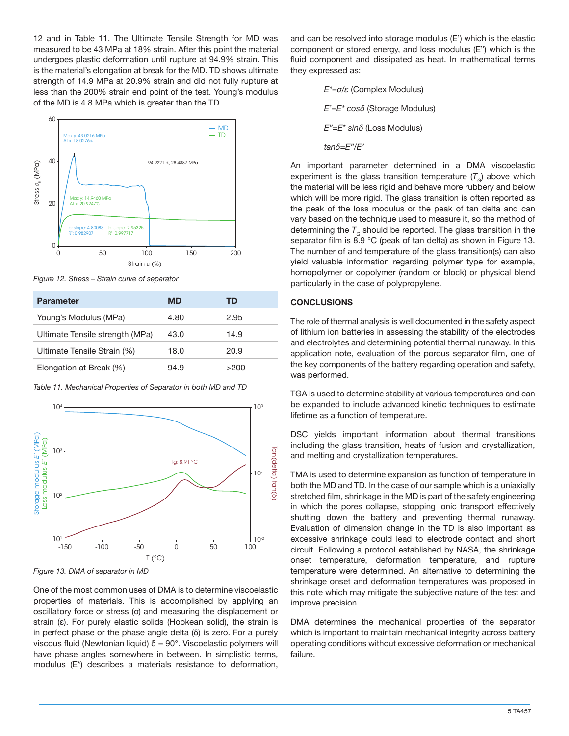12 and in Table 11. The Ultimate Tensile Strength for MD was measured to be 43 MPa at 18% strain. After this point the material undergoes plastic deformation until rupture at 94.9% strain. This is the material's elongation at break for the MD. TD shows ultimate strength of 14.9 MPa at 20.9% strain and did not fully rupture at less than the 200% strain end point of the test. Young's modulus of the MD is 4.8 MPa which is greater than the TD.



*Figure 12. Stress – Strain curve of separator*

| <b>Parameter</b>                | <b>MD</b> | TD   |
|---------------------------------|-----------|------|
| Young's Modulus (MPa)           | 4.80      | 2.95 |
| Ultimate Tensile strength (MPa) | 43.0      | 14.9 |
| Ultimate Tensile Strain (%)     | 18.0      | 20.9 |
| Elongation at Break (%)         | 94.9      | >200 |

*Table 11. Mechanical Properties of Separator in both MD and TD*



*Figure 13. DMA of separator in MD*

One of the most common uses of DMA is to determine viscoelastic properties of materials. This is accomplished by applying an oscillatory force or stress (σ) and measuring the displacement or strain (ε). For purely elastic solids (Hookean solid), the strain is in perfect phase or the phase angle delta (δ) is zero. For a purely viscous fluid (Newtonian liquid)  $δ = 90°$ . Viscoelastic polymers will have phase angles somewhere in between. In simplistic terms, and can be resolved into storage modulus (E') which is the elastic component or stored energy, and loss modulus (E") which is the fluid component and dissipated as heat. In mathematical terms they expressed as:

> *E\*=σ/ε* (Complex Modulus)  *E'=E\* cosδ* (Storage Modulus)  *E"=E\* sinδ* (Loss Modulus)  *tanδ=E"/E'*

An important parameter determined in a DMA viscoelastic experiment is the glass transition temperature  $(T<sub>c</sub>)$  above which the material will be less rigid and behave more rubbery and below which will be more rigid. The glass transition is often reported as the peak of the loss modulus or the peak of tan delta and can vary based on the technique used to measure it, so the method of determining the  $T<sub>G</sub>$  should be reported. The glass transition in the separator film is 8.9 °C (peak of tan delta) as shown in Figure 13. The number of and temperature of the glass transition(s) can also yield valuable information regarding polymer type for example, homopolymer or copolymer (random or block) or physical blend particularly in the case of polypropylene.

# **CONCLUSIONS**

The role of thermal analysis is well documented in the safety aspect of lithium ion batteries in assessing the stability of the electrodes and electrolytes and determining potential thermal runaway. In this application note, evaluation of the porous separator film, one of the key components of the battery regarding operation and safety, was performed.

TGA is used to determine stability at various temperatures and can be expanded to include advanced kinetic techniques to estimate lifetime as a function of temperature.

DSC yields important information about thermal transitions including the glass transition, heats of fusion and crystallization, and melting and crystallization temperatures.

TMA is used to determine expansion as function of temperature in both the MD and TD. In the case of our sample which is a uniaxially stretched film, shrinkage in the MD is part of the safety engineering in which the pores collapse, stopping ionic transport effectively shutting down the battery and preventing thermal runaway. Evaluation of dimension change in the TD is also important as excessive shrinkage could lead to electrode contact and short circuit. Following a protocol established by NASA, the shrinkage onset temperature, deformation temperature, and rupture temperature were determined. An alternative to determining the shrinkage onset and deformation temperatures was proposed in this note which may mitigate the subjective nature of the test and improve precision.

DMA determines the mechanical properties of the separator which is important to maintain mechanical integrity across battery operating conditions without excessive deformation or mechanical failure.